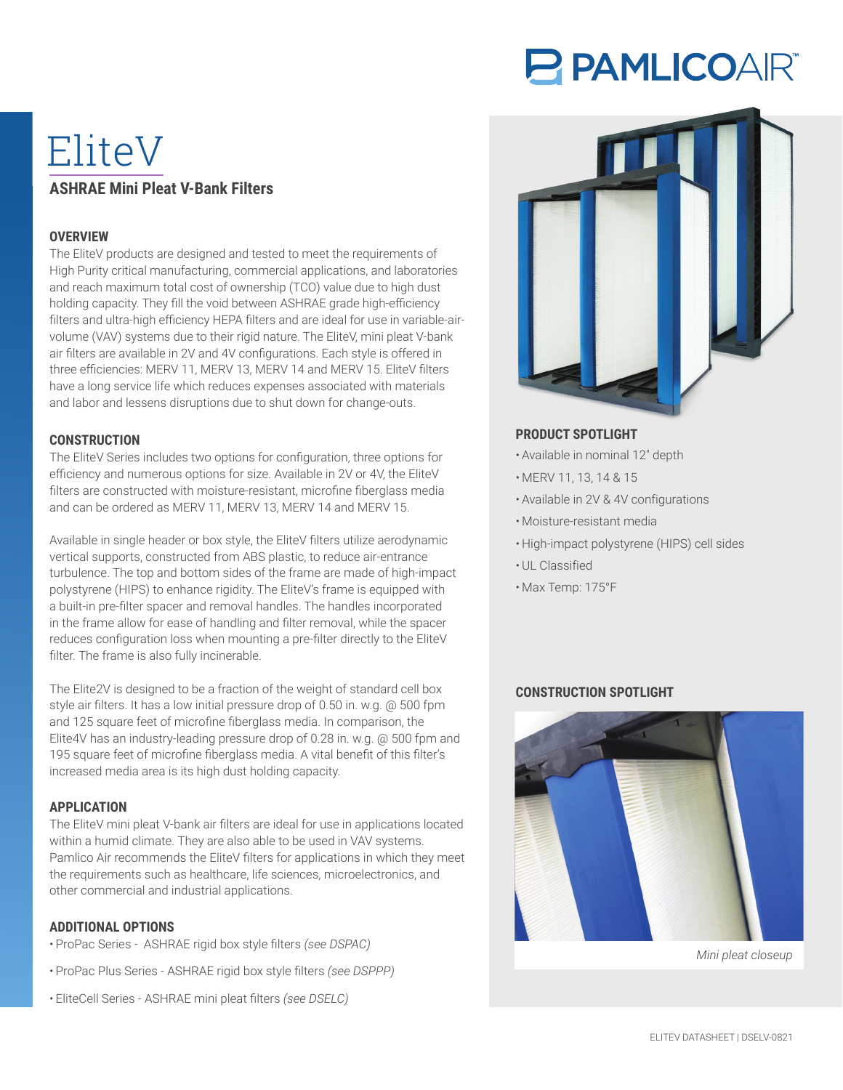# **PAMLICOAR®**

# EliteV **ASHRAE Mini Pleat V-Bank Filters**

#### **OVERVIEW**

The EliteV products are designed and tested to meet the requirements of High Purity critical manufacturing, commercial applications, and laboratories and reach maximum total cost of ownership (TCO) value due to high dust holding capacity. They fill the void between ASHRAE grade high-efficiency filters and ultra-high efficiency HEPA filters and are ideal for use in variable-airvolume (VAV) systems due to their rigid nature. The EliteV, mini pleat V-bank air filters are available in 2V and 4V configurations. Each style is offered in three efficiencies: MERV 11, MERV 13, MERV 14 and MERV 15. EliteV filters have a long service life which reduces expenses associated with materials and labor and lessens disruptions due to shut down for change-outs.

#### **CONSTRUCTION**

The EliteV Series includes two options for configuration, three options for efficiency and numerous options for size. Available in 2V or 4V, the EliteV filters are constructed with moisture-resistant, microfine fiberglass media and can be ordered as MERV 11, MERV 13, MERV 14 and MERV 15.

Available in single header or box style, the EliteV filters utilize aerodynamic vertical supports, constructed from ABS plastic, to reduce air-entrance turbulence. The top and bottom sides of the frame are made of high-impact polystyrene (HIPS) to enhance rigidity. The EliteV's frame is equipped with a built-in pre-filter spacer and removal handles. The handles incorporated in the frame allow for ease of handling and filter removal, while the spacer reduces configuration loss when mounting a pre-filter directly to the EliteV filter. The frame is also fully incinerable.

The Elite2V is designed to be a fraction of the weight of standard cell box style air filters. It has a low initial pressure drop of 0.50 in. w.g. @ 500 fpm and 125 square feet of microfine fiberglass media. In comparison, the Elite4V has an industry-leading pressure drop of 0.28 in. w.g. @ 500 fpm and 195 square feet of microfine fiberglass media. A vital benefit of this filter's increased media area is its high dust holding capacity.

## **APPLICATION**

The EliteV mini pleat V-bank air filters are ideal for use in applications located within a humid climate. They are also able to be used in VAV systems. Pamlico Air recommends the EliteV filters for applications in which they meet the requirements such as healthcare, life sciences, microelectronics, and other commercial and industrial applications.

#### **ADDITIONAL OPTIONS**

- ProPac Series ASHRAE rigid box style filters *(see DSPAC)*
- ProPac Plus Series ASHRAE rigid box style filters *(see DSPPP)*
- EliteCell Series ASHRAE mini pleat filters *(see DSELC)*



# **PRODUCT SPOTLIGHT**

- Available in nominal 12″ depth
- MERV 11, 13, 14 & 15
- Available in 2V & 4V configurations
- Moisture-resistant media
- High-impact polystyrene (HIPS) cell sides
- UL Classified
- Max Temp: 175°F

## **CONSTRUCTION SPOTLIGHT**



*Mini pleat closeup*